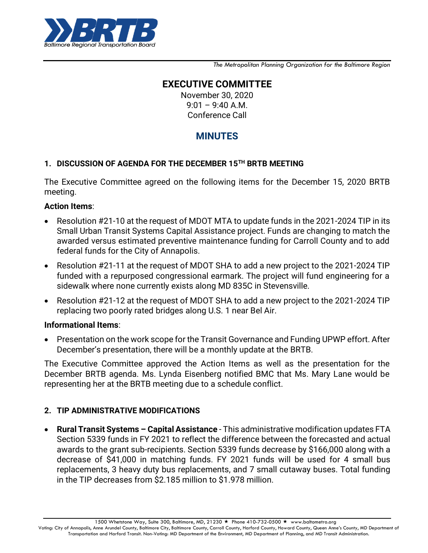

*The Metropolitan Planning Organization for the Baltimore Region*

## **EXECUTIVE COMMITTEE**

November 30, 2020  $9:01 - 9:40$  A.M. Conference Call

# **MINUTES**

#### **1. DISCUSSION OF AGENDA FOR THE DECEMBER 15TH BRTB MEETING**

The Executive Committee agreed on the following items for the December 15, 2020 BRTB meeting.

#### **Action Items**:

- Resolution #21-10 at the request of MDOT MTA to update funds in the 2021-2024 TIP in its Small Urban Transit Systems Capital Assistance project. Funds are changing to match the awarded versus estimated preventive maintenance funding for Carroll County and to add federal funds for the City of Annapolis.
- Resolution #21-11 at the request of MDOT SHA to add a new project to the 2021-2024 TIP funded with a repurposed congressional earmark. The project will fund engineering for a sidewalk where none currently exists along MD 835C in Stevensville.
- Resolution #21-12 at the request of MDOT SHA to add a new project to the 2021-2024 TIP replacing two poorly rated bridges along U.S. 1 near Bel Air.

#### **Informational Items**:

 Presentation on the work scope for the Transit Governance and Funding UPWP effort. After December's presentation, there will be a monthly update at the BRTB.

The Executive Committee approved the Action Items as well as the presentation for the December BRTB agenda. Ms. Lynda Eisenberg notified BMC that Ms. Mary Lane would be representing her at the BRTB meeting due to a schedule conflict.

## **2. TIP ADMINISTRATIVE MODIFICATIONS**

 **Rural Transit Systems – Capital Assistance** - This administrative modification updates FTA Section 5339 funds in FY 2021 to reflect the difference between the forecasted and actual awards to the grant sub-recipients. Section 5339 funds decrease by \$166,000 along with a decrease of \$41,000 in matching funds. FY 2021 funds will be used for 4 small bus replacements, 3 heavy duty bus replacements, and 7 small cutaway buses. Total funding in the TIP decreases from \$2.185 million to \$1.978 million.

1500 Whetstone Way, Suite 300, Baltimore, MD, 21230 ★ Phone 410-732-0500 ★ www.baltometro.org

Voting: City of Annapolis, Anne Arundel County, Baltimore City, Baltimore County, Carroll County, Harford County, Howard County, Queen Anne's County, MD Department of Transportation and Harford Transit. Non-Voting: MD Department of the Environment, MD Department of Planning, and MD Transit Administration.